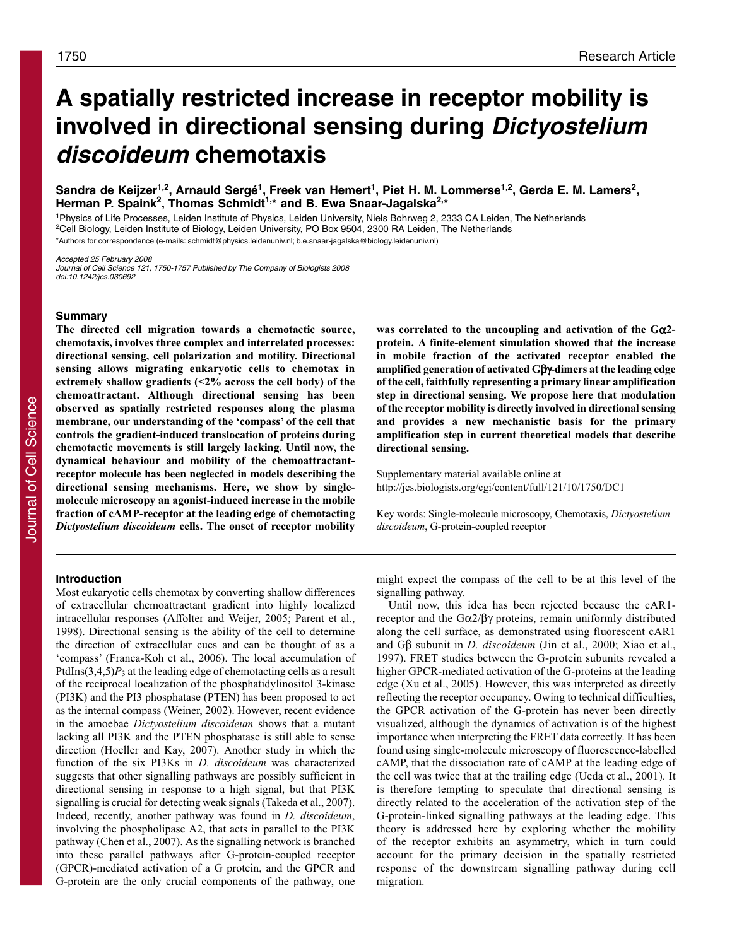# **A spatially restricted increase in receptor mobility is involved in directional sensing during Dictyostelium discoideum chemotaxis**

Sandra de Keijzer<sup>1,2</sup>, Arnauld Sergé<sup>1</sup>, Freek van Hemert<sup>1</sup>, Piet H. M. Lommerse<sup>1,2</sup>, Gerda E. M. Lamers<sup>2</sup>, Herman P. Spaink<sup>2</sup>, Thomas Schmidt<sup>1,\*</sup> and B. Ewa Snaar-Jagalska<sup>2,\*</sup>

1Physics of Life Processes, Leiden Institute of Physics, Leiden University, Niels Bohrweg 2, 2333 CA Leiden, The Netherlands <sup>2</sup>Cell Biology, Leiden Institute of Biology, Leiden University, PO Box 9504, 2300 RA Leiden, The Netherlands \*Authors for correspondence (e-mails: schmidt@physics.leidenuniv.nl; b.e.snaar-jagalska@biology.leidenuniv.nl)

Accepted 25 February 2008 Journal of Cell Science 121, 1750-1757 Published by The Company of Biologists 2008 doi:10.1242/jcs.030692

# **Summary**

**The directed cell migration towards a chemotactic source, chemotaxis, involves three complex and interrelated processes: directional sensing, cell polarization and motility. Directional sensing allows migrating eukaryotic cells to chemotax in extremely shallow gradients (<2% across the cell body) of the chemoattractant. Although directional sensing has been observed as spatially restricted responses along the plasma membrane, our understanding of the 'compass' of the cell that controls the gradient-induced translocation of proteins during chemotactic movements is still largely lacking. Until now, the dynamical behaviour and mobility of the chemoattractantreceptor molecule has been neglected in models describing the directional sensing mechanisms. Here, we show by singlemolecule microscopy an agonist-induced increase in the mobile fraction of cAMP-receptor at the leading edge of chemotacting** *Dictyostelium discoideum* **cells. The onset of receptor mobility**

# **was correlated to the uncoupling and activation of the G**α**2 protein. A finite-element simulation showed that the increase in mobile fraction of the activated receptor enabled the amplified generation of activated G**βγ**-dimers at the leading edge of the cell, faithfully representing a primary linear amplification step in directional sensing. We propose here that modulation of the receptor mobility is directly involved in directional sensing and provides a new mechanistic basis for the primary amplification step in current theoretical models that describe directional sensing.**

Supplementary material available online at http://jcs.biologists.org/cgi/content/full/121/10/1750/DC1

Key words: Single-molecule microscopy, Chemotaxis, *Dictyostelium discoideum*, G-protein-coupled receptor

# **Introduction**

Most eukaryotic cells chemotax by converting shallow differences of extracellular chemoattractant gradient into highly localized intracellular responses (Affolter and Weijer, 2005; Parent et al., 1998). Directional sensing is the ability of the cell to determine the direction of extracellular cues and can be thought of as a 'compass' (Franca-Koh et al., 2006). The local accumulation of PtdIns $(3,4,5)P_3$  at the leading edge of chemotacting cells as a result of the reciprocal localization of the phosphatidylinositol 3-kinase (PI3K) and the PI3 phosphatase (PTEN) has been proposed to act as the internal compass (Weiner, 2002). However, recent evidence in the amoebae *Dictyostelium discoideum* shows that a mutant lacking all PI3K and the PTEN phosphatase is still able to sense direction (Hoeller and Kay, 2007). Another study in which the function of the six PI3Ks in *D. discoideum* was characterized suggests that other signalling pathways are possibly sufficient in directional sensing in response to a high signal, but that PI3K signalling is crucial for detecting weak signals (Takeda et al., 2007). Indeed, recently, another pathway was found in *D. discoideum*, involving the phospholipase A2, that acts in parallel to the PI3K pathway (Chen et al., 2007). As the signalling network is branched into these parallel pathways after G-protein-coupled receptor (GPCR)-mediated activation of a G protein, and the GPCR and G-protein are the only crucial components of the pathway, one

might expect the compass of the cell to be at this level of the signalling pathway.

Until now, this idea has been rejected because the cAR1 receptor and the  $Gα2/βγ$  proteins, remain uniformly distributed along the cell surface, as demonstrated using fluorescent cAR1 and Gβ subunit in *D. discoideum* (Jin et al., 2000; Xiao et al., 1997). FRET studies between the G-protein subunits revealed a higher GPCR-mediated activation of the G-proteins at the leading edge (Xu et al., 2005). However, this was interpreted as directly reflecting the receptor occupancy. Owing to technical difficulties, the GPCR activation of the G-protein has never been directly visualized, although the dynamics of activation is of the highest importance when interpreting the FRET data correctly. It has been found using single-molecule microscopy of fluorescence-labelled cAMP, that the dissociation rate of cAMP at the leading edge of the cell was twice that at the trailing edge (Ueda et al., 2001). It is therefore tempting to speculate that directional sensing is directly related to the acceleration of the activation step of the G-protein-linked signalling pathways at the leading edge. This theory is addressed here by exploring whether the mobility of the receptor exhibits an asymmetry, which in turn could account for the primary decision in the spatially restricted response of the downstream signalling pathway during cell migration.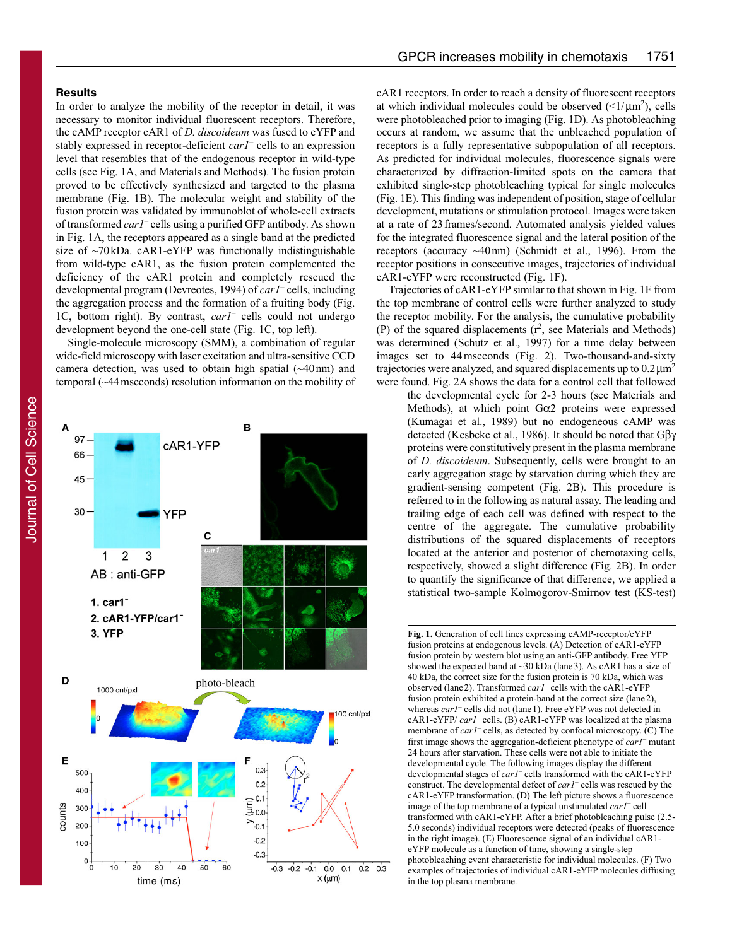# **Results**

In order to analyze the mobility of the receptor in detail, it was necessary to monitor individual fluorescent receptors. Therefore, the cAMP receptor cAR1 of *D. discoideum* was fused to eYFP and stably expressed in receptor-deficient *car1–* cells to an expression level that resembles that of the endogenous receptor in wild-type cells (see Fig. 1A, and Materials and Methods). The fusion protein proved to be effectively synthesized and targeted to the plasma membrane (Fig. 1B). The molecular weight and stability of the fusion protein was validated by immunoblot of whole-cell extracts of transformed *car1–* cells using a purified GFP antibody. As shown in Fig. 1A, the receptors appeared as a single band at the predicted size of  $\sim$ 70kDa. cAR1-eYFP was functionally indistinguishable from wild-type cAR1, as the fusion protein complemented the deficiency of the cAR1 protein and completely rescued the developmental program (Devreotes, 1994) of *car1–* cells, including the aggregation process and the formation of a fruiting body (Fig. 1C, bottom right). By contrast, *car1–* cells could not undergo development beyond the one-cell state (Fig. 1C, top left).

Single-molecule microscopy (SMM), a combination of regular wide-field microscopy with laser excitation and ultra-sensitive CCD camera detection, was used to obtain high spatial  $(\sim40 \text{ nm})$  and temporal (~44mseconds) resolution information on the mobility of



cAR1 receptors. In order to reach a density of fluorescent receptors at which individual molecules could be observed  $(\leq 1/\mu m^2)$ , cells were photobleached prior to imaging (Fig. 1D). As photobleaching occurs at random, we assume that the unbleached population of receptors is a fully representative subpopulation of all receptors. As predicted for individual molecules, fluorescence signals were characterized by diffraction-limited spots on the camera that exhibited single-step photobleaching typical for single molecules (Fig. 1E). This finding was independent of position, stage of cellular development, mutations or stimulation protocol. Images were taken at a rate of 23frames/second. Automated analysis yielded values for the integrated fluorescence signal and the lateral position of the receptors (accuracy ~40nm) (Schmidt et al., 1996). From the receptor positions in consecutive images, trajectories of individual cAR1-eYFP were reconstructed (Fig. 1F).

Trajectories of cAR1-eYFP similar to that shown in Fig. 1F from the top membrane of control cells were further analyzed to study the receptor mobility. For the analysis, the cumulative probability (P) of the squared displacements  $(r^2$ , see Materials and Methods) was determined (Schutz et al., 1997) for a time delay between images set to 44 mseconds (Fig. 2). Two-thousand-and-sixty trajectories were analyzed, and squared displacements up to  $0.2 \mu m^2$ were found. Fig. 2A shows the data for a control cell that followed

the developmental cycle for 2-3 hours (see Materials and Methods), at which point Gα2 proteins were expressed (Kumagai et al., 1989) but no endogeneous cAMP was detected (Kesbeke et al., 1986). It should be noted that Gβγ proteins were constitutively present in the plasma membrane of *D. discoideum*. Subsequently, cells were brought to an early aggregation stage by starvation during which they are gradient-sensing competent (Fig. 2B). This procedure is referred to in the following as natural assay. The leading and trailing edge of each cell was defined with respect to the centre of the aggregate. The cumulative probability distributions of the squared displacements of receptors located at the anterior and posterior of chemotaxing cells, respectively, showed a slight difference (Fig. 2B). In order to quantify the significance of that difference, we applied a statistical two-sample Kolmogorov-Smirnov test (KS-test)

**Fig. 1.** Generation of cell lines expressing cAMP-receptor/eYFP fusion proteins at endogenous levels. (A) Detection of cAR1-eYFP fusion protein by western blot using an anti-GFP antibody. Free YFP showed the expected band at  $\sim$ 30 kDa (lane 3). As cAR1 has a size of 40 kDa, the correct size for the fusion protein is 70 kDa, which was observed (lane2). Transformed *car1–* cells with the cAR1-eYFP fusion protein exhibited a protein-band at the correct size (lane2), whereas *car1*<sup>-</sup> cells did not (lane 1). Free eYFP was not detected in cAR1-eYFP/ *car1–* cells. (B) cAR1-eYFP was localized at the plasma membrane of *car1–* cells, as detected by confocal microscopy. (C) The first image shows the aggregation-deficient phenotype of *car1–* mutant 24 hours after starvation. These cells were not able to initiate the developmental cycle. The following images display the different developmental stages of *car1–* cells transformed with the cAR1-eYFP construct. The developmental defect of *car1–* cells was rescued by the cAR1-eYFP transformation. (D) The left picture shows a fluorescence image of the top membrane of a typical unstimulated *car1–* cell transformed with cAR1-eYFP. After a brief photobleaching pulse (2.5- 5.0 seconds) individual receptors were detected (peaks of fluorescence in the right image). (E) Fluorescence signal of an individual cAR1 eYFP molecule as a function of time, showing a single-step photobleaching event characteristic for individual molecules. (F) Two examples of trajectories of individual cAR1-eYFP molecules diffusing in the top plasma membrane.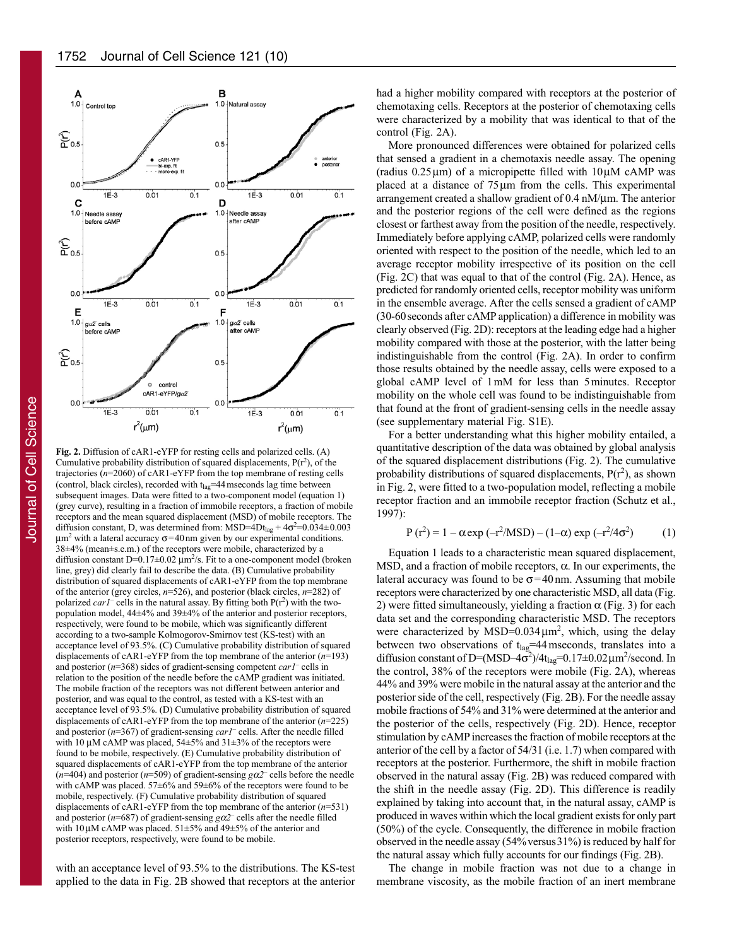

**Fig. 2.** Diffusion of cAR1-eYFP for resting cells and polarized cells. (A) Cumulative probability distribution of squared displacements,  $P(r^2)$ , of the trajectories (*n*=2060) of cAR1-eYFP from the top membrane of resting cells (control, black circles), recorded with  $t_{\text{la}g}$ =44 mseconds lag time between subsequent images. Data were fitted to a two-component model (equation 1) (grey curve), resulting in a fraction of immobile receptors, a fraction of mobile receptors and the mean squared displacement (MSD) of mobile receptors. The diffusion constant, D, was determined from: MSD= $4Dt_{lag} + 4\sigma^2 = 0.034 \pm 0.003$  $\mu$ m<sup>2</sup> with a lateral accuracy  $\sigma$ =40 nm given by our experimental conditions. 38±4% (mean±s.e.m.) of the receptors were mobile, characterized by a diffusion constant D=0.17 $\pm$ 0.02  $\mu$ m<sup>2</sup>/s. Fit to a one-component model (broken line, grey) did clearly fail to describe the data. (B) Cumulative probability distribution of squared displacements of cAR1-eYFP from the top membrane of the anterior (grey circles, *n*=526), and posterior (black circles, *n*=282) of polarized  $car1$ <sup>-</sup> cells in the natural assay. By fitting both  $P(r^2)$  with the twopopulation model, 44±4% and 39±4% of the anterior and posterior receptors, respectively, were found to be mobile, which was significantly different according to a two-sample Kolmogorov-Smirnov test (KS-test) with an acceptance level of 93.5%. (C) Cumulative probability distribution of squared displacements of cAR1-eYFP from the top membrane of the anterior (*n*=193) and posterior (*n*=368) sides of gradient-sensing competent *car1–* cells in relation to the position of the needle before the cAMP gradient was initiated. The mobile fraction of the receptors was not different between anterior and posterior, and was equal to the control, as tested with a KS-test with an acceptance level of 93.5%. (D) Cumulative probability distribution of squared displacements of cAR1-eYFP from the top membrane of the anterior (*n*=225) and posterior (*n*=367) of gradient-sensing *car1–* cells. After the needle filled with 10 μM cAMP was placed, 54±5% and 31±3% of the receptors were found to be mobile, respectively. (E) Cumulative probability distribution of squared displacements of cAR1-eYFP from the top membrane of the anterior ( $n=404$ ) and posterior ( $n=509$ ) of gradient-sensing  $g\alpha$ <sup>-</sup> cells before the needle with cAMP was placed. 57 $\pm$ 6% and 59 $\pm$ 6% of the receptors were found to be mobile, respectively. (F) Cumulative probability distribution of squared displacements of cAR1-eYFP from the top membrane of the anterior (*n*=531) and posterior ( $n=687$ ) of gradient-sensing  $g\alpha^2$  cells after the needle filled with 10  $\mu$ M cAMP was placed. 51 $\pm$ 5% and 49 $\pm$ 5% of the anterior and posterior receptors, respectively, were found to be mobile.

with an acceptance level of 93.5% to the distributions. The KS-test applied to the data in Fig. 2B showed that receptors at the anterior had a higher mobility compared with receptors at the posterior of chemotaxing cells. Receptors at the posterior of chemotaxing cells were characterized by a mobility that was identical to that of the control (Fig. 2A).

More pronounced differences were obtained for polarized cells that sensed a gradient in a chemotaxis needle assay. The opening (radius  $0.25 \,\mu\text{m}$ ) of a micropipette filled with  $10 \,\mu\text{M}$  cAMP was placed at a distance of 75 μm from the cells. This experimental arrangement created a shallow gradient of 0.4 nM/μm. The anterior and the posterior regions of the cell were defined as the regions closest or farthest away from the position of the needle, respectively. Immediately before applying cAMP, polarized cells were randomly oriented with respect to the position of the needle, which led to an average receptor mobility irrespective of its position on the cell (Fig. 2C) that was equal to that of the control (Fig. 2A). Hence, as predicted for randomly oriented cells, receptor mobility was uniform in the ensemble average. After the cells sensed a gradient of cAMP (30-60seconds after cAMP application) a difference in mobility was clearly observed (Fig. 2D): receptors at the leading edge had a higher mobility compared with those at the posterior, with the latter being indistinguishable from the control (Fig. 2A). In order to confirm those results obtained by the needle assay, cells were exposed to a global cAMP level of 1mM for less than 5minutes. Receptor mobility on the whole cell was found to be indistinguishable from that found at the front of gradient-sensing cells in the needle assay (see supplementary material Fig. S1E).

For a better understanding what this higher mobility entailed, a quantitative description of the data was obtained by global analysis of the squared displacement distributions (Fig. 2). The cumulative probability distributions of squared displacements,  $P(r^2)$ , as shown in Fig. 2, were fitted to a two-population model, reflecting a mobile receptor fraction and an immobile receptor fraction (Schutz et al., 1997):

$$
P(r^{2}) = 1 - \alpha \exp(-r^{2}/MSD) - (1-\alpha) \exp(-r^{2}/4\sigma^{2})
$$
 (1)

Equation 1 leads to a characteristic mean squared displacement, MSD, and a fraction of mobile receptors,  $\alpha$ . In our experiments, the lateral accuracy was found to be  $\sigma = 40$  nm. Assuming that mobile receptors were characterized by one characteristic MSD, all data (Fig. 2) were fitted simultaneously, yielding a fraction  $\alpha$  (Fig. 3) for each data set and the corresponding characteristic MSD. The receptors were characterized by  $MSD=0.034 \mu m^2$ , which, using the delay between two observations of  $t_{lag}$ =44 mseconds, translates into a diffusion constant of D=(MSD–4 $\sigma^2$ )/4t<sub>lag</sub>=0.17±0.02  $\mu$ m<sup>2</sup>/second. In the control, 38% of the receptors were mobile (Fig. 2A), whereas 44% and 39% were mobile in the natural assay at the anterior and the posterior side of the cell, respectively (Fig. 2B). For the needle assay mobile fractions of 54% and 31% were determined at the anterior and the posterior of the cells, respectively (Fig. 2D). Hence, receptor stimulation by cAMP increases the fraction of mobile receptors at the anterior of the cell by a factor of 54/31 (i.e. 1.7) when compared with receptors at the posterior. Furthermore, the shift in mobile fraction observed in the natural assay (Fig. 2B) was reduced compared with the shift in the needle assay (Fig. 2D). This difference is readily explained by taking into account that, in the natural assay, cAMP is produced in waves within which the local gradient exists for only part (50%) of the cycle. Consequently, the difference in mobile fraction observed in the needle assay (54%versus31%) is reduced by half for the natural assay which fully accounts for our findings (Fig. 2B).

The change in mobile fraction was not due to a change in membrane viscosity, as the mobile fraction of an inert membrane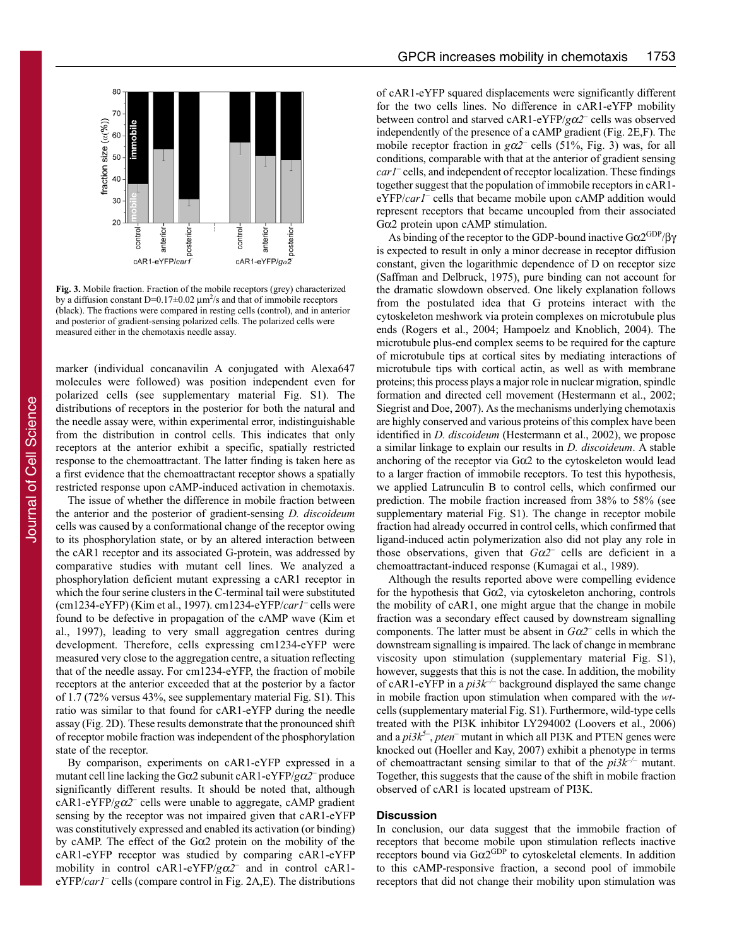

**Fig. 3.** Mobile fraction. Fraction of the mobile receptors (grey) characterized by a diffusion constant D=0.17 $\pm$ 0.02  $\mu$ m<sup>2</sup>/s and that of immobile receptors (black). The fractions were compared in resting cells (control), and in anterior and posterior of gradient-sensing polarized cells. The polarized cells were measured either in the chemotaxis needle assay.

marker (individual concanavilin A conjugated with Alexa647 molecules were followed) was position independent even for polarized cells (see supplementary material Fig. S1). The distributions of receptors in the posterior for both the natural and the needle assay were, within experimental error, indistinguishable from the distribution in control cells. This indicates that only receptors at the anterior exhibit a specific, spatially restricted response to the chemoattractant. The latter finding is taken here as a first evidence that the chemoattractant receptor shows a spatially restricted response upon cAMP-induced activation in chemotaxis.

The issue of whether the difference in mobile fraction between the anterior and the posterior of gradient-sensing *D. discoideum* cells was caused by a conformational change of the receptor owing to its phosphorylation state, or by an altered interaction between the cAR1 receptor and its associated G-protein, was addressed by comparative studies with mutant cell lines. We analyzed a phosphorylation deficient mutant expressing a cAR1 receptor in which the four serine clusters in the C-terminal tail were substituted (cm1234-eYFP) (Kim et al., 1997). cm1234-eYFP/*car1–* cells were found to be defective in propagation of the cAMP wave (Kim et al., 1997), leading to very small aggregation centres during development. Therefore, cells expressing cm1234-eYFP were measured very close to the aggregation centre, a situation reflecting that of the needle assay. For cm1234-eYFP, the fraction of mobile receptors at the anterior exceeded that at the posterior by a factor of 1.7 (72% versus 43%, see supplementary material Fig. S1). This ratio was similar to that found for cAR1-eYFP during the needle assay (Fig. 2D). These results demonstrate that the pronounced shift of receptor mobile fraction was independent of the phosphorylation state of the receptor.

By comparison, experiments on cAR1-eYFP expressed in a mutant cell line lacking the Gα2 subunit cAR1-eYFP/*g*α*2*– produce significantly different results. It should be noted that, although cAR1-eYFP/*g*α*2–* cells were unable to aggregate, cAMP gradient sensing by the receptor was not impaired given that cAR1-eYFP was constitutively expressed and enabled its activation (or binding) by cAMP. The effect of the  $G\alpha2$  protein on the mobility of the cAR1-eYFP receptor was studied by comparing cAR1-eYFP mobility in control cAR1-eYFP/*g*α*2*– and in control cAR1 eYFP/*car1–* cells (compare control in Fig. 2A,E). The distributions of cAR1-eYFP squared displacements were significantly different for the two cells lines. No difference in cAR1-eYFP mobility between control and starved cAR1-eYFP/*g*α*2–* cells was observed independently of the presence of a cAMP gradient (Fig. 2E,F). The mobile receptor fraction in  $g\alpha$ <sup>2–</sup> cells (51%, Fig. 3) was, for all conditions, comparable with that at the anterior of gradient sensing *car1*– cells, and independent of receptor localization. These findings together suggest that the population of immobile receptors in cAR1 eYFP/*car1–* cells that became mobile upon cAMP addition would represent receptors that became uncoupled from their associated Gα2 protein upon cAMP stimulation.

As binding of the receptor to the GDP-bound inactive Gα2GDP/βγ is expected to result in only a minor decrease in receptor diffusion constant, given the logarithmic dependence of D on receptor size (Saffman and Delbruck, 1975), pure binding can not account for the dramatic slowdown observed. One likely explanation follows from the postulated idea that G proteins interact with the cytoskeleton meshwork via protein complexes on microtubule plus ends (Rogers et al., 2004; Hampoelz and Knoblich, 2004). The microtubule plus-end complex seems to be required for the capture of microtubule tips at cortical sites by mediating interactions of microtubule tips with cortical actin, as well as with membrane proteins; this process plays a major role in nuclear migration, spindle formation and directed cell movement (Hestermann et al., 2002; Siegrist and Doe, 2007). As the mechanisms underlying chemotaxis are highly conserved and various proteins of this complex have been identified in *D. discoideum* (Hestermann et al., 2002), we propose a similar linkage to explain our results in *D. discoideum*. A stable anchoring of the receptor via Gα2 to the cytoskeleton would lead to a larger fraction of immobile receptors. To test this hypothesis, we applied Latrunculin B to control cells, which confirmed our prediction. The mobile fraction increased from 38% to 58% (see supplementary material Fig. S1). The change in receptor mobile fraction had already occurred in control cells, which confirmed that ligand-induced actin polymerization also did not play any role in those observations, given that  $G\alpha^2$  cells are deficient in a chemoattractant-induced response (Kumagai et al., 1989).

Although the results reported above were compelling evidence for the hypothesis that  $G\alpha2$ , via cytoskeleton anchoring, controls the mobility of cAR1, one might argue that the change in mobile fraction was a secondary effect caused by downstream signalling components. The latter must be absent in *G*α*2–* cells in which the downstream signalling is impaired. The lack of change in membrane viscosity upon stimulation (supplementary material Fig. S1), however, suggests that this is not the case. In addition, the mobility of cAR1-eYFP in a  $pi3k^{-/-}$  background displayed the same change in mobile fraction upon stimulation when compared with the *wt*cells (supplementary material Fig. S1). Furthermore, wild-type cells treated with the PI3K inhibitor LY294002 (Loovers et al., 2006) and a  $pi3k^5$ , *pten*<sup>–</sup> mutant in which all PI3K and PTEN genes were knocked out (Hoeller and Kay, 2007) exhibit a phenotype in terms of chemoattractant sensing similar to that of the *pi3k–/–* mutant. Together, this suggests that the cause of the shift in mobile fraction observed of cAR1 is located upstream of PI3K.

# **Discussion**

In conclusion, our data suggest that the immobile fraction of receptors that become mobile upon stimulation reflects inactive receptors bound via  $G\alpha2^{GDP}$  to cytoskeletal elements. In addition to this cAMP-responsive fraction, a second pool of immobile receptors that did not change their mobility upon stimulation was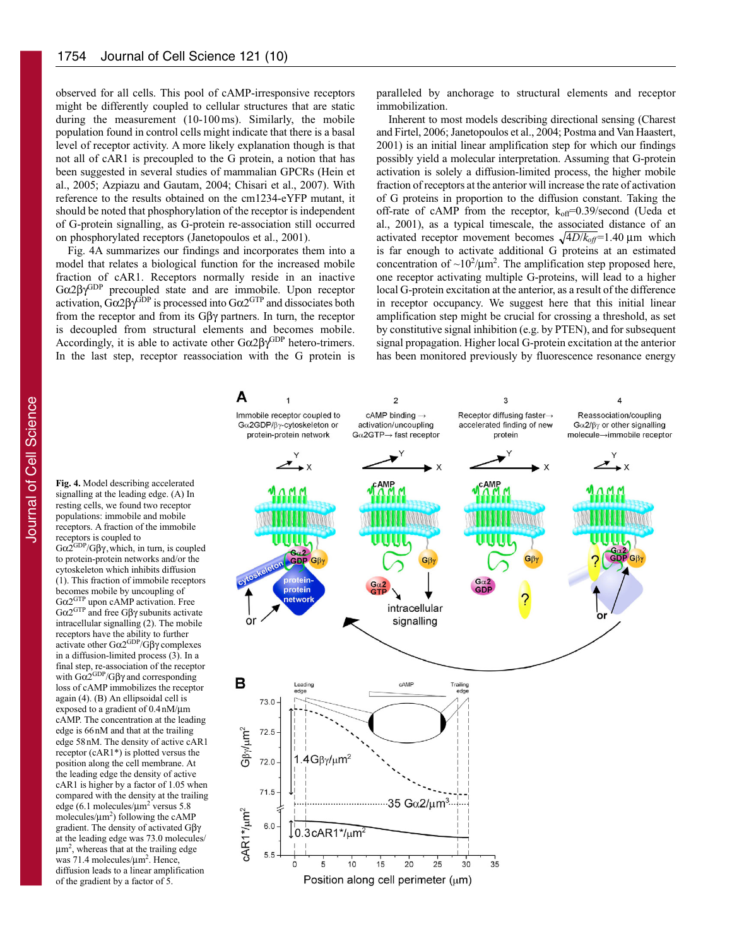observed for all cells. This pool of cAMP-irresponsive receptors might be differently coupled to cellular structures that are static during the measurement (10-100 ms). Similarly, the mobile population found in control cells might indicate that there is a basal level of receptor activity. A more likely explanation though is that not all of cAR1 is precoupled to the G protein, a notion that has been suggested in several studies of mammalian GPCRs (Hein et al., 2005; Azpiazu and Gautam, 2004; Chisari et al., 2007). With reference to the results obtained on the cm1234-eYFP mutant, it should be noted that phosphorylation of the receptor is independent of G-protein signalling, as G-protein re-association still occurred on phosphorylated receptors (Janetopoulos et al., 2001).

Fig. 4A summarizes our findings and incorporates them into a model that relates a biological function for the increased mobile fraction of cAR1. Receptors normally reside in an inactive Gα2βγGDP precoupled state and are immobile. Upon receptor activation,  $Gα2βγ<sup>GDP</sup>$  is processed into  $Gα2<sup>GTP</sup>$  and dissociates both from the receptor and from its Gβγ partners. In turn, the receptor is decoupled from structural elements and becomes mobile. Accordingly, it is able to activate other  $G\alpha 2\beta\gamma^{GDP}$  hetero-trimers. In the last step, receptor reassociation with the G protein is paralleled by anchorage to structural elements and receptor immobilization.

Inherent to most models describing directional sensing (Charest and Firtel, 2006; Janetopoulos et al., 2004; Postma and Van Haastert, 2001) is an initial linear amplification step for which our findings possibly yield a molecular interpretation. Assuming that G-protein activation is solely a diffusion-limited process, the higher mobile fraction of receptors at the anterior will increase the rate of activation of G proteins in proportion to the diffusion constant. Taking the off-rate of cAMP from the receptor,  $k_{off}=0.39$ /second (Ueda et al., 2001), as a typical timescale, the associated distance of an activated receptor movement becomes  $\sqrt{4D/k_{off}}$ =1.40 µm which is far enough to activate additional G proteins at an estimated concentration of  $\sim 10^2/\mu m^2$ . The amplification step proposed here, one receptor activating multiple G-proteins, will lead to a higher local G-protein excitation at the anterior, as a result of the difference in receptor occupancy. We suggest here that this initial linear amplification step might be crucial for crossing a threshold, as set by constitutive signal inhibition (e.g. by PTEN), and for subsequent signal propagation. Higher local G-protein excitation at the anterior has been monitored previously by fluorescence resonance energy

resting cells, we found two receptor populations: immobile and mobile receptors. A fraction of the immobile receptors is coupled to  $G\alpha2^{GDP}/G\beta\gamma$ , which, in turn, is coupled to protein-protein networks and/or the cytoskeleton which inhibits diffusion (1). This fraction of immobile receptors becomes mobile by uncoupling of

**Fig. 4.** Model describing accelerated signalling at the leading edge. (A) In

Gα2GTP upon cAMP activation. Free Gα2GTP and free Gβγ subunits activate intracellular signalling (2). The mobile receptors have the ability to further activate other  $Gα2^{GDP}/Gβγ$  complexes in a diffusion-limited process (3). In a final step, re-association of the receptor with  $Gα2^{GDP}/Gβγ$  and corresponding loss of cAMP immobilizes the receptor again (4). (B) An ellipsoidal cell is exposed to a gradient of 0.4nM/μm cAMP. The concentration at the leading edge is 66nM and that at the trailing edge 58nM. The density of active cAR1 receptor (cAR1\*) is plotted versus the position along the cell membrane. At the leading edge the density of active cAR1 is higher by a factor of 1.05 when compared with the density at the trailing edge (6.1 molecules/ $\mu$ m<sup>2</sup> versus 5.8 molecules/ $\mu$ m<sup>2</sup>) following the cAMP gradient. The density of activated Gβγ at the leading edge was 73.0 molecules/ μm2 , whereas that at the trailing edge was 71.4 molecules/μm2 . Hence, diffusion leads to a linear amplification of the gradient by a factor of 5.

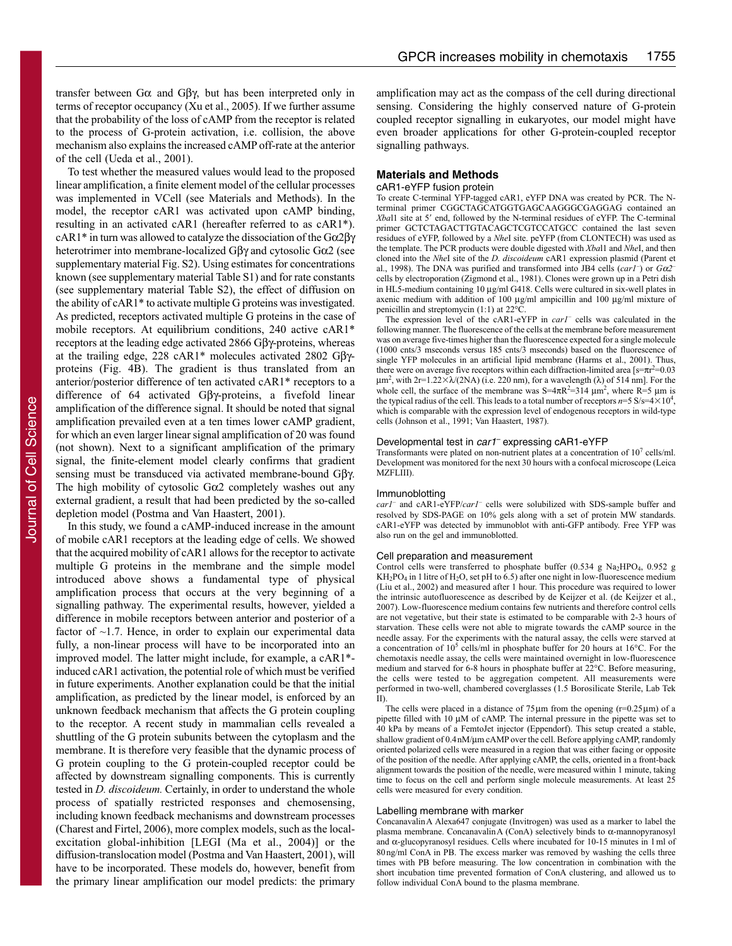transfer between Gα and Gβγ, but has been interpreted only in terms of receptor occupancy (Xu et al., 2005). If we further assume that the probability of the loss of cAMP from the receptor is related to the process of G-protein activation, i.e. collision, the above mechanism also explains the increased cAMP off-rate at the anterior of the cell (Ueda et al., 2001).

To test whether the measured values would lead to the proposed linear amplification, a finite element model of the cellular processes was implemented in VCell (see Materials and Methods). In the model, the receptor cAR1 was activated upon cAMP binding, resulting in an activated cAR1 (hereafter referred to as cAR1\*). cAR1\* in turn was allowed to catalyze the dissociation of the Gα2βγ heterotrimer into membrane-localized Gβγ and cytosolic Gα2 (see supplementary material Fig. S2). Using estimates for concentrations known (see supplementary material Table S1) and for rate constants (see supplementary material Table S2), the effect of diffusion on the ability of cAR1\* to activate multiple G proteins was investigated. As predicted, receptors activated multiple G proteins in the case of mobile receptors. At equilibrium conditions, 240 active cAR1\* receptors at the leading edge activated 2866 Gβγ-proteins, whereas at the trailing edge, 228 cAR1\* molecules activated 2802 Gβγproteins (Fig. 4B). The gradient is thus translated from an anterior/posterior difference of ten activated cAR1\* receptors to a difference of 64 activated Gβγ-proteins, a fivefold linear amplification of the difference signal. It should be noted that signal amplification prevailed even at a ten times lower cAMP gradient, for which an even larger linear signal amplification of 20 was found (not shown). Next to a significant amplification of the primary signal, the finite-element model clearly confirms that gradient sensing must be transduced via activated membrane-bound Gβγ. The high mobility of cytosolic Gα2 completely washes out any external gradient, a result that had been predicted by the so-called depletion model (Postma and Van Haastert, 2001).

In this study, we found a cAMP-induced increase in the amount of mobile cAR1 receptors at the leading edge of cells. We showed that the acquired mobility of cAR1 allows for the receptor to activate multiple G proteins in the membrane and the simple model introduced above shows a fundamental type of physical amplification process that occurs at the very beginning of a signalling pathway. The experimental results, however, yielded a difference in mobile receptors between anterior and posterior of a factor of ~1.7. Hence, in order to explain our experimental data fully, a non-linear process will have to be incorporated into an improved model. The latter might include, for example, a cAR1\* induced cAR1 activation, the potential role of which must be verified in future experiments. Another explanation could be that the initial amplification, as predicted by the linear model, is enforced by an unknown feedback mechanism that affects the G protein coupling to the receptor. A recent study in mammalian cells revealed a shuttling of the G protein subunits between the cytoplasm and the membrane. It is therefore very feasible that the dynamic process of G protein coupling to the G protein-coupled receptor could be affected by downstream signalling components. This is currently tested in *D. discoideum.* Certainly, in order to understand the whole process of spatially restricted responses and chemosensing, including known feedback mechanisms and downstream processes (Charest and Firtel, 2006), more complex models, such as the localexcitation global-inhibition [LEGI (Ma et al., 2004)] or the diffusion-translocation model (Postma and Van Haastert, 2001), will have to be incorporated. These models do, however, benefit from the primary linear amplification our model predicts: the primary

amplification may act as the compass of the cell during directional sensing. Considering the highly conserved nature of G-protein coupled receptor signalling in eukaryotes, our model might have even broader applications for other G-protein-coupled receptor signalling pathways.

# **Materials and Methods**

## cAR1-eYFP fusion protein

To create C-terminal YFP-tagged cAR1, eYFP DNA was created by PCR. The Nterminal primer CGGCTAGCATGGTGAGCAAGGGCGAGGAG contained an Xbal1 site at 5' end, followed by the N-terminal residues of eYFP. The C-terminal primer GCTCTAGACTTGTACAGCTCGTCCATGCC contained the last seven residues of eYFP, followed by a *Nhe*I site. peYFP (from CLONTECH) was used as the template. The PCR products were double digested with *Xba*l1 and *Nhe*I, and then cloned into the *Nhe*I site of the *D. discoideum* cAR1 expression plasmid (Parent et al., 1998). The DNA was purified and transformed into JB4 cells (*car1–* ) or *G*α*2–* cells by electroporation (Zigmond et al., 1981). Clones were grown up in a Petri dish in HL5-medium containing 10 μg/ml G418. Cells were cultured in six-well plates in axenic medium with addition of 100 μg/ml ampicillin and 100 μg/ml mixture of penicillin and streptomycin (1:1) at  $22^{\circ}$ C.

The expression level of the cAR1-eYFP in *car1–* cells was calculated in the following manner. The fluorescence of the cells at the membrane before measurement was on average five-times higher than the fluorescence expected for a single molecule (1000 cnts/3 mseconds versus 185 cnts/3 mseconds) based on the fluorescence of single YFP molecules in an artificial lipid membrane (Harms et al., 2001). Thus, there were on average five receptors within each diffraction-limited area [ $s=\pi r^2=0.03$  $\mu$ m<sup>2</sup>, with 2r=1.22 $\times$  $\lambda$ /(2NA) (i.e. 220 nm), for a wavelength ( $\lambda$ ) of 514 nm]. For the whole cell, the surface of the membrane was  $S=4\pi R^2=314 \mu m^2$ , where  $R=5 \mu m$  is the typical radius of the cell. This leads to a total number of receptors  $n=5$  S/s= $4\times10^4$ , which is comparable with the expression level of endogenous receptors in wild-type cells (Johnson et al., 1991; Van Haastert, 1987).

#### Developmental test in car1<sup>-</sup> expressing cAR1-eYFP

Transformants were plated on non-nutrient plates at a concentration of 107 cells/ml. Development was monitored for the next 30 hours with a confocal microscope (Leica MZFLIII).

#### Immunoblotting

*car1–* and cAR1-eYFP/*car1–* cells were solubilized with SDS-sample buffer and resolved by SDS-PAGE on 10% gels along with a set of protein MW standards. cAR1-eYFP was detected by immunoblot with anti-GFP antibody. Free YFP was also run on the gel and immunoblotted.

#### Cell preparation and measurement

Control cells were transferred to phosphate buffer (0.534 g Na<sub>2</sub>HPO<sub>4</sub>, 0.952 g  $KH_2PO_4$  in 1 litre of H<sub>2</sub>O, set pH to 6.5) after one night in low-fluorescence medium (Liu et al., 2002) and measured after 1 hour. This procedure was required to lower the intrinsic autofluorescence as described by de Keijzer et al. (de Keijzer et al., 2007). Low-fluorescence medium contains few nutrients and therefore control cells are not vegetative, but their state is estimated to be comparable with 2-3 hours of starvation. These cells were not able to migrate towards the cAMP source in the needle assay. For the experiments with the natural assay, the cells were starved at a concentration of 10<sup>5</sup> cells/ml in phosphate buffer for 20 hours at 16°C. For the chemotaxis needle assay, the cells were maintained overnight in low-fluorescence medium and starved for 6-8 hours in phosphate buffer at 22°C. Before measuring, the cells were tested to be aggregation competent. All measurements were performed in two-well, chambered coverglasses (1.5 Borosilicate Sterile, Lab Tek II).

The cells were placed in a distance of  $75 \,\mu m$  from the opening (r=0.25 $\,\mu$ m) of a pipette filled with 10 μM of cAMP. The internal pressure in the pipette was set to 40 kPa by means of a FemtoJet injector (Eppendorf). This setup created a stable, shallow gradient of 0.4nM/μm cAMP over the cell. Before applying cAMP, randomly oriented polarized cells were measured in a region that was either facing or opposite of the position of the needle. After applying cAMP, the cells, oriented in a front-back alignment towards the position of the needle, were measured within 1 minute, taking time to focus on the cell and perform single molecule measurements. At least 25 cells were measured for every condition.

#### Labelling membrane with marker

ConcanavalinA Alexa647 conjugate (Invitrogen) was used as a marker to label the plasma membrane. ConcanavalinA (ConA) selectively binds to α-mannopyranosyl and  $\alpha$ -glucopyranosyl residues. Cells where incubated for 10-15 minutes in 1 ml of 80ng/ml ConA in PB. The excess marker was removed by washing the cells three times with PB before measuring. The low concentration in combination with the short incubation time prevented formation of ConA clustering, and allowed us to follow individual ConA bound to the plasma membrane.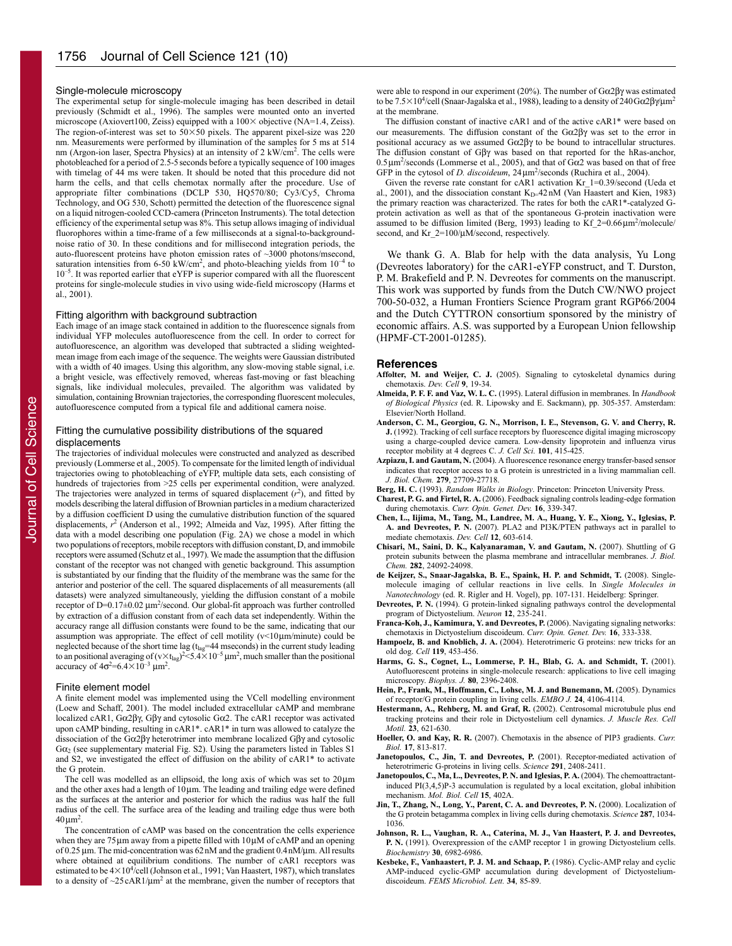## Single-molecule microscopy

The experimental setup for single-molecule imaging has been described in detail previously (Schmidt et al., 1996). The samples were mounted onto an inverted microscope (Axiovert100, Zeiss) equipped with a  $100 \times$  objective (NA=1.4, Zeiss). The region-of-interest was set to  $50\times50$  pixels. The apparent pixel-size was 220 nm. Measurements were performed by illumination of the samples for 5 ms at 514 nm (Argon-ion laser, Spectra Physics) at an intensity of 2 kW/cm<sup>2</sup>. The cells were photobleached for a period of 2.5-5seconds before a typically sequence of 100 images with timelag of 44 ms were taken. It should be noted that this procedure did not harm the cells, and that cells chemotax normally after the procedure. Use of appropriate filter combinations (DCLP 530, HQ570/80; Cy3/Cy5, Chroma Technology, and OG 530, Schott) permitted the detection of the fluorescence signal on a liquid nitrogen-cooled CCD-camera (Princeton Instruments). The total detection efficiency of the experimental setup was 8%. This setup allows imaging of individual fluorophores within a time-frame of a few milliseconds at a signal-to-backgroundnoise ratio of 30. In these conditions and for millisecond integration periods, the auto-fluorescent proteins have photon emission rates of ~3000 photons/msecond, saturation intensities from 6-50 kW/cm<sup>2</sup>, and photo-bleaching yields from  $10^{-4}$  to  $10^{-5}$ . It was reported earlier that eYFP is superior compared with all the fluorescent proteins for single-molecule studies in vivo using wide-field microscopy (Harms et al., 2001).

## Fitting algorithm with background subtraction

Each image of an image stack contained in addition to the fluorescence signals from individual YFP molecules autofluorescence from the cell. In order to correct for autofluorescence, an algorithm was developed that subtracted a sliding weightedmean image from each image of the sequence. The weights were Gaussian distributed with a width of 40 images. Using this algorithm, any slow-moving stable signal, i.e. a bright vesicle, was effectively removed, whereas fast-moving or fast bleaching signals, like individual molecules, prevailed. The algorithm was validated by simulation, containing Brownian trajectories, the corresponding fluorescent molecules, autofluorescence computed from a typical file and additional camera noise.

## Fitting the cumulative possibility distributions of the squared displacements

The trajectories of individual molecules were constructed and analyzed as described previously (Lommerse et al., 2005). To compensate for the limited length of individual trajectories owing to photobleaching of eYFP, multiple data sets, each consisting of hundreds of trajectories from >25 cells per experimental condition, were analyzed. The trajectories were analyzed in terms of squared displacement  $(r^2)$ , and fitted by models describing the lateral diffusion of Brownian particles in a medium characterized by a diffusion coefficient D using the cumulative distribution function of the squared displacements, *r*<sup>2</sup> (Anderson et al., 1992; Almeida and Vaz, 1995). After fitting the data with a model describing one population (Fig. 2A) we chose a model in which two populations of receptors, mobile receptors with diffusion constant, D, and immobile receptors were assumed (Schutz et al., 1997). We made the assumption that the diffusion constant of the receptor was not changed with genetic background. This assumption is substantiated by our finding that the fluidity of the membrane was the same for the anterior and posterior of the cell. The squared displacements of all measurements (all datasets) were analyzed simultaneously, yielding the diffusion constant of a mobile receptor of D=0.17±0.02 μm<sup>2</sup>/second. Our global-fit approach was further controlled by extraction of a diffusion constant from of each data set independently. Within the accuracy range all diffusion constants were found to be the same, indicating that our assumption was appropriate. The effect of cell motility (v<10 μm/minute) could be neglected because of the short time lag ( $t_{\text{la}e}$ =44 mseconds) in the current study leading to an positional averaging of  $(v \times t_{lag})^2 < 5.4 \times 10^{-5}$  µm<sup>2</sup>, much smaller than the positional accuracy of  $4\sigma^2 = 6.4 \times 10^{-3} \text{ }\mu\text{m}^2$ .

#### Finite element model

A finite element model was implemented using the VCell modelling environment (Loew and Schaff, 2001). The model included extracellular cAMP and membrane localized cAR1, Gα2βγ, Gβγ and cytosolic Gα2. The cAR1 receptor was activated upon cAMP binding, resulting in cAR1\*. cAR1\* in turn was allowed to catalyze the dissociation of the Gα2βγ heterotrimer into membrane localized Gβγ and cytosolic  $G\alpha_2$  (see supplementary material Fig. S2). Using the parameters listed in Tables S1 and S2, we investigated the effect of diffusion on the ability of cAR1\* to activate the G protein.

The cell was modelled as an ellipsoid, the long axis of which was set to 20 μm and the other axes had a length of 10 μm. The leading and trailing edge were defined as the surfaces at the anterior and posterior for which the radius was half the full radius of the cell. The surface area of the leading and trailing edge thus were both  $40 \,\mathrm{\mu m^2}$ .

The concentration of cAMP was based on the concentration the cells experience when they are 75 μm away from a pipette filled with 10 μM of cAMP and an opening of 0.25 μm. The mid-concentration was 62nM and the gradient 0.4nM/μm. All results where obtained at equilibrium conditions. The number of cAR1 receptors was estimated to be  $4\times10^4$ /cell (Johnson et al., 1991; Van Haastert, 1987), which translates to a density of  $\sim$ 25 cAR1/ $\mu$ m<sup>2</sup> at the membrane, given the number of receptors that were able to respond in our experiment (20%). The number of Gα2βγ was estimated to be 7.5 $\times$ 10<sup>4</sup>/cell (Snaar-Jagalska et al., 1988), leading to a density of 240Gα2βγ/μm<sup>2</sup> at the membrane.

The diffusion constant of inactive cAR1 and of the active cAR1\* were based on our measurements. The diffusion constant of the Gα2βγ was set to the error in positional accuracy as we assumed Gα2βγ to be bound to intracellular structures. The diffusion constant of Gβγ was based on that reported for the hRas-anchor,  $0.5 \mu m^2$ /seconds (Lommerse et al., 2005), and that of G $\alpha$ 2 was based on that of free GFP in the cytosol of *D. discoideum*, 24μm<sup>2</sup>/seconds (Ruchira et al., 2004).

Given the reverse rate constant for cAR1 activation Kr\_1=0.39/second (Ueda et al., 2001), and the dissociation constant  $K_{D=}42$ nM (Van Haastert and Kien, 1983) the primary reaction was characterized. The rates for both the cAR1\*-catalyzed Gprotein activation as well as that of the spontaneous G-protein inactivation were assumed to be diffusion limited (Berg, 1993) leading to  $\text{Kf}_2$ =0.66 $\mu$ m<sup>2</sup>/molecule/ second, and Kr\_2=100/μM/second, respectively.

We thank G. A. Blab for help with the data analysis, Yu Long (Devreotes laboratory) for the cAR1-eYFP construct, and T. Durston, P. M. Brakefield and P. N. Devreotes for comments on the manuscript. This work was supported by funds from the Dutch CW/NWO project 700-50-032, a Human Frontiers Science Program grant RGP66/2004 and the Dutch CYTTRON consortium sponsored by the ministry of economic affairs. A.S. was supported by a European Union fellowship (HPMF-CT-2001-01285).

#### **References**

- **Affolter, M. and Weijer, C. J.** (2005). Signaling to cytoskeletal dynamics during chemotaxis. *Dev. Cell* **9**, 19-34.
- **Almeida, P. F. F. and Vaz, W. L. C.** (1995). Lateral diffusion in membranes. In *Handbook of Biological Physics* (ed. R. Lipowsky and E. Sackmann), pp. 305-357. Amsterdam: Elsevier/North Holland.
- **Anderson, C. M., Georgiou, G. N., Morrison, I. E., Stevenson, G. V. and Cherry, R. J.** (1992). Tracking of cell surface receptors by fluorescence digital imaging microscopy using a charge-coupled device camera. Low-density lipoprotein and influenza virus receptor mobility at 4 degrees C. *J. Cell Sci.* **101**, 415-425.
- **Azpiazu, I. and Gautam, N.** (2004). A fluorescence resonance energy transfer-based sensor indicates that receptor access to a G protein is unrestricted in a living mammalian cell. *J. Biol. Chem.* **279**, 27709-27718.
- **Berg, H. C.** (1993). *Random Walks in Biology*. Princeton: Princeton University Press.
- **Charest, P. G. and Firtel, R. A.** (2006). Feedback signaling controls leading-edge formation during chemotaxis. *Curr. Opin. Genet. Dev.* **16**, 339-347.
- **Chen, L., Iijima, M., Tang, M., Landree, M. A., Huang, Y. E., Xiong, Y., Iglesias, P. A. and Devreotes, P. N.** (2007). PLA2 and PI3K/PTEN pathways act in parallel to mediate chemotaxis. *Dev. Cell* **12**, 603-614.
- **Chisari, M., Saini, D. K., Kalyanaraman, V. and Gautam, N.** (2007). Shuttling of G protein subunits between the plasma membrane and intracellular membranes. *J. Biol. Chem.* **282**, 24092-24098.
- **de Keijzer, S., Snaar-Jagalska, B. E., Spaink, H. P. and Schmidt, T.** (2008). Singlemolecule imaging of cellular reactions in live cells. In *Single Molecules in Nanotechnology* (ed. R. Rigler and H. Vogel), pp. 107-131. Heidelberg: Springer.
- **Devreotes, P. N.** (1994). G protein-linked signaling pathways control the developmental program of Dictyostelium. *Neuron* **12**, 235-241.
- **Franca-Koh, J., Kamimura, Y. and Devreotes, P.** (2006). Navigating signaling networks: chemotaxis in Dictyostelium discoideum. *Curr. Opin. Genet. Dev.* **16**, 333-338.
- **Hampoelz, B. and Knoblich, J. A.** (2004). Heterotrimeric G proteins: new tricks for an old dog. *Cell* **119**, 453-456.
- **Harms, G. S., Cognet, L., Lommerse, P. H., Blab, G. A. and Schmidt, T.** (2001). Autofluorescent proteins in single-molecule research: applications to live cell imaging microscopy. *Biophys. J.* **80**, 2396-2408.
- **Hein, P., Frank, M., Hoffmann, C., Lohse, M. J. and Bunemann, M.** (2005). Dynamics of receptor/G protein coupling in living cells. *EMBO J.* **24**, 4106-4114.
- **Hestermann, A., Rehberg, M. and Graf, R.** (2002). Centrosomal microtubule plus end tracking proteins and their role in Dictyostelium cell dynamics. *J. Muscle Res. Cell Motil.* **23**, 621-630.
- **Hoeller, O. and Kay, R. R.** (2007). Chemotaxis in the absence of PIP3 gradients. *Curr. Biol.* **17**, 813-817.
- **Janetopoulos, C., Jin, T. and Devreotes, P.** (2001). Receptor-mediated activation of heterotrimeric G-proteins in living cells. *Science* **291**, 2408-2411.
- **Janetopoulos, C., Ma, L., Devreotes, P. N. and Iglesias, P. A.** (2004). The chemoattractantinduced PI(3,4,5)P-3 accumulation is regulated by a local excitation, global inhibition mechanism. *Mol. Biol. Cell* **15**, 402A.
- **Jin, T., Zhang, N., Long, Y., Parent, C. A. and Devreotes, P. N.** (2000). Localization of the G protein betagamma complex in living cells during chemotaxis. *Science* **287**, 1034- 1036.
- **Johnson, R. L., Vaughan, R. A., Caterina, M. J., Van Haastert, P. J. and Devreotes, P. N.** (1991). Overexpression of the cAMP receptor 1 in growing Dictyostelium cells. *Biochemistry* **30**, 6982-6986.
- **Kesbeke, F., Vanhaastert, P. J. M. and Schaap, P.** (1986). Cyclic-AMP relay and cyclic AMP-induced cyclic-GMP accumulation during development of Dictyosteliumdiscoideum. *FEMS Microbiol. Lett.* **34**, 85-89.